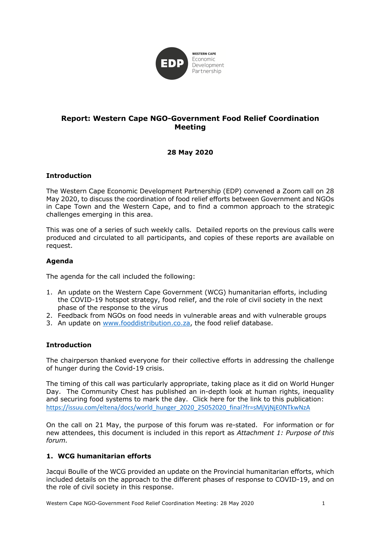

# **Report: Western Cape NGO-Government Food Relief Coordination Meeting**

# **28 May 2020**

### **Introduction**

The Western Cape Economic Development Partnership (EDP) convened a Zoom call on 28 May 2020, to discuss the coordination of food relief efforts between Government and NGOs in Cape Town and the Western Cape, and to find a common approach to the strategic challenges emerging in this area.

This was one of a series of such weekly calls. Detailed reports on the previous calls were produced and circulated to all participants, and copies of these reports are available on request.

### **Agenda**

The agenda for the call included the following:

- 1. An update on the Western Cape Government (WCG) humanitarian efforts, including the COVID-19 hotspot strategy, food relief, and the role of civil society in the next phase of the response to the virus
- 2. Feedback from NGOs on food needs in vulnerable areas and with vulnerable groups
- 3. An update on www.fooddistribution.co.za, the food relief database.

#### **Introduction**

The chairperson thanked everyone for their collective efforts in addressing the challenge of hunger during the Covid-19 crisis.

The timing of this call was particularly appropriate, taking place as it did on World Hunger Day. The Community Chest has published an in-depth look at human rights, inequality and securing food systems to mark the day. Click here for the link to this publication: https://issuu.com/eltena/docs/world\_hunger\_2020\_25052020\_final?fr=sMjVjNjE0NTkwNzA

On the call on 21 May, the purpose of this forum was re-stated. For information or for new attendees, this document is included in this report as *Attachment 1: Purpose of this forum.*

## **1. WCG humanitarian efforts**

Jacqui Boulle of the WCG provided an update on the Provincial humanitarian efforts, which included details on the approach to the different phases of response to COVID-19, and on the role of civil society in this response.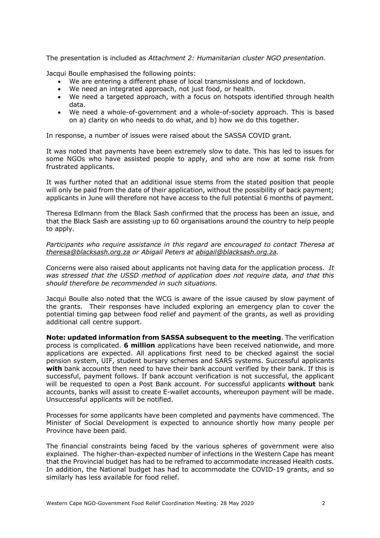The presentation is included as *Attachment 2: Humanitarian cluster NGO presentation.*

Jacqui Boulle emphasised the following points:

- We are entering a different phase of local transmissions and of lockdown.
- We need an integrated approach, not just food, or health.
- We need a targeted approach, with a focus on hotspots identified through health data.
- We need a whole-of-government and a whole-of-society approach. This is based on a) clarity on who needs to do what, and b) how we do this together.

In response, a number of issues were raised about the SASSA COVID grant.

It was noted that payments have been extremely slow to date. This has led to issues for some NGOs who have assisted people to apply, and who are now at some risk from frustrated applicants.

It was further noted that an additional issue stems from the stated position that people will only be paid from the date of their application, without the possibility of back payment; applicants in June will therefore not have access to the full potential 6 months of payment.

Theresa Edlmann from the Black Sash confirmed that the process has been an issue, and that the Black Sash are assisting up to 60 organisations around the country to help people to apply.

*Participants who require assistance in this regard are encouraged to contact Theresa at theresa@blacksash.org.za or Abigail Peters at abigail@blacksash.org.za.* 

Concerns were also raised about applicants not having data for the application process. *It was stressed that the USSD method of application does not require data, and that this should therefore be recommended in such situations.* 

Jacqui Boulle also noted that the WCG is aware of the issue caused by slow payment of the grants. Their responses have included exploring an emergency plan to cover the potential timing gap between food relief and payment of the grants, as well as providing additional call centre support.

**Note: updated information from SASSA subsequent to the meeting**. The verification process is complicated. **6 million** applications have been received nationwide, and more applications are expected. All applications first need to be checked against the social pension system, UIF, student bursary schemes and SARS systems. Successful applicants **with** bank accounts then need to have their bank account verified by their bank. If this is successful, payment follows. If bank account verification is not successful, the applicant will be requested to open a Post Bank account. For successful applicants **without** bank accounts, banks will assist to create E-wallet accounts, whereupon payment will be made. Unsuccessful applicants will be notified.

Processes for some applicants have been completed and payments have commenced. The Minister of Social Development is expected to announce shortly how many people per Province have been paid.

The financial constraints being faced by the various spheres of government were also explained. The higher-than-expected number of infections in the Western Cape has meant that the Provincial budget has had to be reframed to accommodate increased Health costs. In addition, the National budget has had to accommodate the COVID-19 grants, and so similarly has less available for food relief.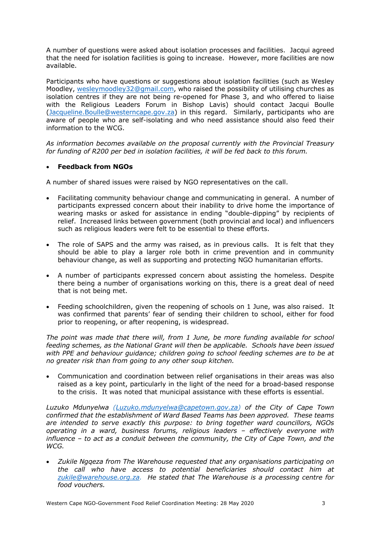A number of questions were asked about isolation processes and facilities. Jacqui agreed that the need for isolation facilities is going to increase. However, more facilities are now available.

Participants who have questions or suggestions about isolation facilities (such as Wesley Moodley, wesleymoodley32@gmail.com, who raised the possibility of utilising churches as isolation centres if they are not being re-opened for Phase 3, and who offered to liaise with the Religious Leaders Forum in Bishop Lavis) should contact Jacqui Boulle (Jacqueline.Boulle@westerncape.gov.za) in this regard. Similarly, participants who are aware of people who are self-isolating and who need assistance should also feed their information to the WCG.

*As information becomes available on the proposal currently with the Provincial Treasury for funding of R200 per bed in isolation facilities, it will be fed back to this forum.*

### • **Feedback from NGOs**

A number of shared issues were raised by NGO representatives on the call.

- Facilitating community behaviour change and communicating in general. A number of participants expressed concern about their inability to drive home the importance of wearing masks or asked for assistance in ending "double-dipping" by recipients of relief. Increased links between government (both provincial and local) and influencers such as religious leaders were felt to be essential to these efforts.
- The role of SAPS and the army was raised, as in previous calls. It is felt that they should be able to play a larger role both in crime prevention and in community behaviour change, as well as supporting and protecting NGO humanitarian efforts.
- A number of participants expressed concern about assisting the homeless. Despite there being a number of organisations working on this, there is a great deal of need that is not being met.
- Feeding schoolchildren, given the reopening of schools on 1 June, was also raised. It was confirmed that parents' fear of sending their children to school, either for food prior to reopening, or after reopening, is widespread.

*The point was made that there will, from 1 June, be more funding available for school feeding schemes, as the National Grant will then be applicable. Schools have been issued with PPE and behaviour guidance; children going to school feeding schemes are to be at no greater risk than from going to any other soup kitchen.*

• Communication and coordination between relief organisations in their areas was also raised as a key point, particularly in the light of the need for a broad-based response to the crisis. It was noted that municipal assistance with these efforts is essential.

*Luzuko Mdunyelwa (Luzuko.mdunyelwa@capetown.gov.za) of the City of Cape Town confirmed that the establishment of Ward Based Teams has been approved. These teams are intended to serve exactly this purpose: to bring together ward councillors, NGOs operating in a ward, business forums, religious leaders – effectively everyone with influence – to act as a conduit between the community, the City of Cape Town, and the WCG.* 

• *Zukile Ngqeza from The Warehouse requested that any organisations participating on the call who have access to potential beneficiaries should contact him at zukile@warehouse.org.za. He stated that The Warehouse is a processing centre for food vouchers.*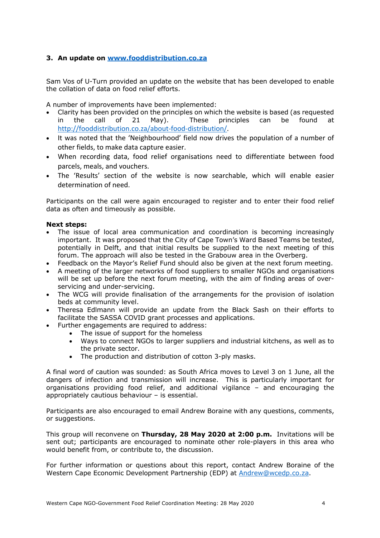# **3. An update on www.fooddistribution.co.za**

Sam Vos of U-Turn provided an update on the website that has been developed to enable the collation of data on food relief efforts.

A number of improvements have been implemented:

- Clarity has been provided on the principles on which the website is based (as requested in the call of 21 May). These principles can be found at http://fooddistribution.co.za/about-food-distribution/.
- It was noted that the 'Neighbourhood' field now drives the population of a number of other fields, to make data capture easier.
- When recording data, food relief organisations need to differentiate between food parcels, meals, and vouchers.
- The 'Results' section of the website is now searchable, which will enable easier determination of need.

Participants on the call were again encouraged to register and to enter their food relief data as often and timeously as possible.

#### **Next steps:**

- The issue of local area communication and coordination is becoming increasingly important. It was proposed that the City of Cape Town's Ward Based Teams be tested, potentially in Delft, and that initial results be supplied to the next meeting of this forum. The approach will also be tested in the Grabouw area in the Overberg.
- Feedback on the Mayor's Relief Fund should also be given at the next forum meeting.
- A meeting of the larger networks of food suppliers to smaller NGOs and organisations will be set up before the next forum meeting, with the aim of finding areas of overservicing and under-servicing.
- The WCG will provide finalisation of the arrangements for the provision of isolation beds at community level.
- Theresa Edlmann will provide an update from the Black Sash on their efforts to facilitate the SASSA COVID grant processes and applications.
- Further engagements are required to address:
	- The issue of support for the homeless
		- Ways to connect NGOs to larger suppliers and industrial kitchens, as well as to the private sector.
		- The production and distribution of cotton 3-ply masks.

A final word of caution was sounded: as South Africa moves to Level 3 on 1 June, all the dangers of infection and transmission will increase. This is particularly important for organisations providing food relief, and additional vigilance – and encouraging the appropriately cautious behaviour – is essential.

Participants are also encouraged to email Andrew Boraine with any questions, comments, or suggestions.

This group will reconvene on **Thursday, 28 May 2020 at 2:00 p.m.** Invitations will be sent out; participants are encouraged to nominate other role-players in this area who would benefit from, or contribute to, the discussion.

For further information or questions about this report, contact Andrew Boraine of the Western Cape Economic Development Partnership (EDP) at Andrew@wcedp.co.za.